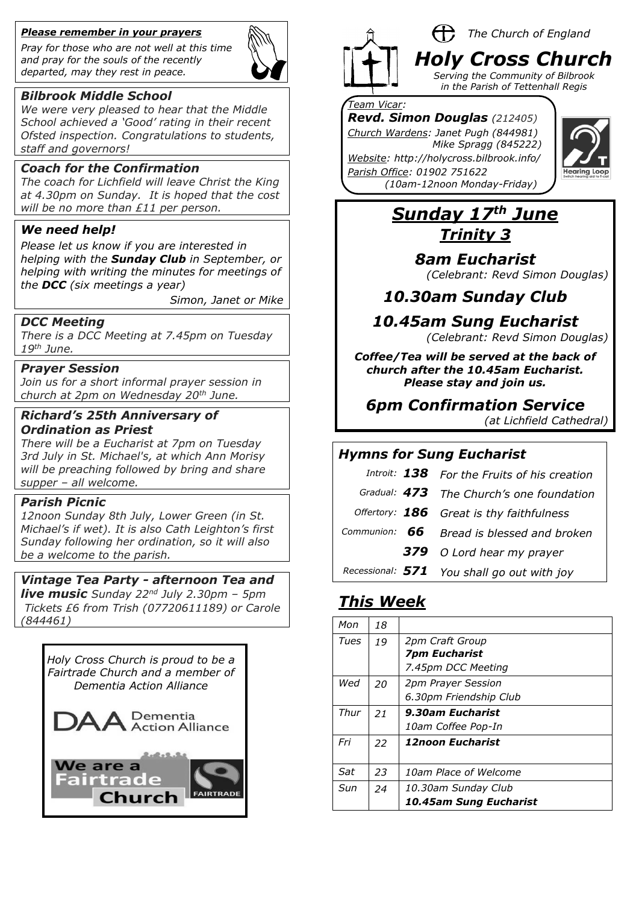#### *Please remember in your prayers*

*Pray for those who are not well at this time and pray for the souls of the recently departed, may they rest in peace.*



### *Bilbrook Middle School*

*We were very pleased to hear that the Middle School achieved a 'Good' rating in their recent Ofsted inspection. Congratulations to students, staff and governors!*

#### *Coach for the Confirmation*

*The coach for Lichfield will leave Christ the King at 4.30pm on Sunday. It is hoped that the cost will be no more than £11 per person.*

#### *We need help!*

*Please let us know if you are interested in helping with the Sunday Club in September, or helping with writing the minutes for meetings of the DCC (six meetings a year)*

*Simon, Janet or Mike* 

#### *DCC Meeting*

*There is a DCC Meeting at 7.45pm on Tuesday 19th June.*

#### *Prayer Session*

*Join us for a short informal prayer session in church at 2pm on Wednesday 20th June.*

## *Richard's 25th Anniversary of Ordination as Priest*

*There will be a Eucharist at 7pm on Tuesday 3rd July in St. Michael's, at which Ann Morisy will be preaching followed by bring and share supper – all welcome.*

## *Parish Picnic*

*12noon Sunday 8th July, Lower Green (in St. Michael's if wet). It is also Cath Leighton's first Sunday following her ordination, so it will also be a welcome to the parish.*

#### *Vintage Tea Party - afternoon Tea and*

*live music Sunday 22nd July 2.30pm – 5pm Tickets £6 from Trish (07720611189) or Carole (844461)*

*Holy Cross Church is proud to be a Fairtrade Church and a member of Dementia Action Alliance*





#### H) *The Church of England Holy Cross Church Serving the Community of Bilbrook*

*in the Parish of Tettenhall Regis*

### *Team Vicar:*

*Revd. Simon Douglas (212405) Church Wardens: Janet Pugh (844981) Mike Spragg (845222)* 

*Website: http://holycross.bilbrook.info/ Parish Office: 01902 751622 (10am-12noon Monday-Friday)*



# *Sunday 17th June Trinity 3*

*8am Eucharist*

*(Celebrant: Revd Simon Douglas)*

*10.30am Sunday Club* 

## *10.45am Sung Eucharist*

*(Celebrant: Revd Simon Douglas)*

*Coffee/Tea will be served at the back of church after the 10.45am Eucharist. Please stay and join us.*

## *6pm Confirmation Service*

*(at Lichfield Cathedral)*

## *Hymns for Sung Eucharist*

|  | Introit: 138 For the Fruits of his creation |
|--|---------------------------------------------|
|  | Gradual: 473 The Church's one foundation    |
|  | Offertory: 186 Great is thy faithfulness    |
|  | Communion: $66$ Bread is blessed and broken |
|  | <b>379</b> O Lord hear my prayer            |
|  | Recessional: 571 You shall go out with joy  |

# *This Week*

| Mon  | 18 |                                |
|------|----|--------------------------------|
| Tues | 19 | 2pm Craft Group                |
|      |    | <b>7pm Eucharist</b>           |
|      |    | 7.45pm DCC Meeting             |
| Wed  | 20 | <b>2pm Prayer Session</b>      |
|      |    | 6.30pm Friendship Club         |
| Thur | 21 | 9.30am Eucharist               |
|      |    | 10am Coffee Pop-In             |
| Fri  | 22 | <i><b>12noon Eucharist</b></i> |
|      |    |                                |
| Sat  | 23 | 10am Place of Welcome          |
| Sun  | 24 | 10.30am Sunday Club            |
|      |    | 10.45am Sung Eucharist         |